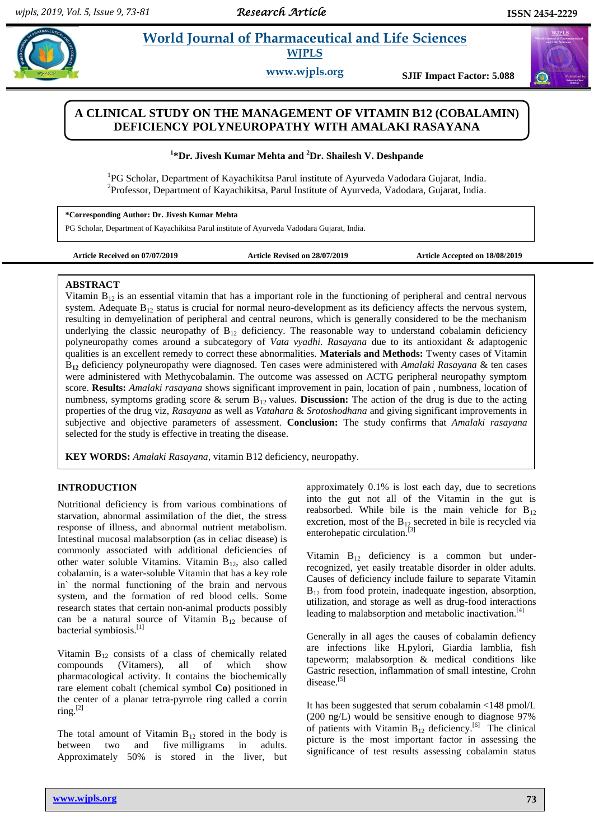# **Paramaceutical and Life Sciences WJPLS**

**www.wjpls.org SJIF Impact Factor: 5.088**

# **A CLINICAL STUDY ON THE MANAGEMENT OF VITAMIN B12 (COBALAMIN) DEFICIENCY POLYNEUROPATHY WITH AMALAKI RASAYANA**

### **1 \*Dr. Jivesh Kumar Mehta and <sup>2</sup>Dr. Shailesh V. Deshpande**

<sup>1</sup>PG Scholar, Department of Kayachikitsa Parul institute of Ayurveda Vadodara Gujarat, India. <sup>2</sup>Professor, Department of Kayachikitsa, Parul Institute of Ayurveda, Vadodara, Gujarat, India.

**\*Corresponding Author: Dr. Jivesh Kumar Mehta**

PG Scholar, Department of Kayachikitsa Parul institute of Ayurveda Vadodara Gujarat, India.

**Article Received on 07/07/2019 Article Revised on 28/07/2019 Article Accepted on 18/08/2019**

#### **ABSTRACT**

Vitamin  $B_{12}$  is an essential vitamin that has a important role in the functioning of peripheral and central nervous system. Adequate  $B_{12}$  status is crucial for normal neuro-development as its deficiency affects the nervous system, resulting in demyelination of peripheral and central neurons, which is generally considered to be the mechanism underlying the classic neuropathy of  $B_{12}$  deficiency. The reasonable way to understand cobalamin deficiency polyneuropathy comes around a subcategory of *Vata vyadhi. Rasayana* due to its antioxidant & adaptogenic qualities is an excellent remedy to correct these abnormalities. **Materials and Methods:** Twenty cases of Vitamin B**<sup>12</sup>** deficiency polyneuropathy were diagnosed. Ten cases were administered with *Amalaki Rasayana* & ten cases were administered with Methycobalamin. The outcome was assessed on ACTG peripheral neuropathy symptom score. **Results:** *Amalaki rasayana* shows significant improvement in pain, location of pain , numbness, location of numbness, symptoms grading score & serum B<sub>12</sub> values. **Discussion:** The action of the drug is due to the acting properties of the drug viz, *Rasayana* as well as *Vatahara* & *Srotoshodhana* and giving significant improvements in subjective and objective parameters of assessment. **Conclusion:** The study confirms that *Amalaki rasayana*  selected for the study is effective in treating the disease.

**KEY WORDS:** *Amalaki Rasayana,* vitamin B12 deficiency, neuropathy.

# **INTRODUCTION**

Nutritional deficiency is from various combinations of starvation, abnormal assimilation of the diet, the stress response of illness, and abnormal nutrient metabolism. Intestinal mucosal malabsorption (as in celiac disease) is commonly associated with additional deficiencies of other water soluble Vitamins. Vitamin  $B_{12}$ , also called cobalamin, is a water-soluble Vitamin that has a key role in` the normal functioning of the brain and nervous system, and the formation of red blood cells. Some research states that certain non-animal products possibly can be a natural source of Vitamin  $B_{12}$  because of bacterial symbiosis.[1]

Vitamin  $B_{12}$  consists of a class of chemically related compounds (Vitamers), all of which show pharmacological activity. It contains the biochemically rare element cobalt (chemical symbol **Co**) positioned in the center of a planar tetra-pyrrole ring called a corrin  $\text{ring}$ . $^{[2]}$ 

The total amount of Vitamin  $B_{12}$  stored in the body is between two and five milligrams in adults. Approximately 50% is stored in the liver, but

approximately 0.1% is lost each day, due to secretions into the gut not all of the Vitamin in the gut is reabsorbed. While bile is the main vehicle for  $B_{12}$ excretion, most of the  $B_{12}$  secreted in bile is recycled via enterohepatic circulation.<sup>[3]</sup>

Vitamin  $B_{12}$  deficiency is a common but underrecognized, yet easily treatable disorder in older adults. Causes of deficiency include failure to separate Vitamin  $B_{12}$  from food protein, inadequate ingestion, absorption, utilization, and storage as well as drug-food interactions leading to malabsorption and metabolic inactivation.<sup>[4]</sup>

Generally in all ages the causes of cobalamin defiency are infections like H.pylori, Giardia lamblia, fish tapeworm; malabsorption & medical conditions like Gastric resection, inflammation of small intestine, Crohn disease.<sup>[5]</sup>

It has been suggested that serum cobalamin <148 pmol/L (200 ng/L) would be sensitive enough to diagnose 97% of patients with Vitamin  $B_{12}$  deficiency.<sup>[6]</sup> The clinical picture is the most important factor in assessing the significance of test results assessing cobalamin status

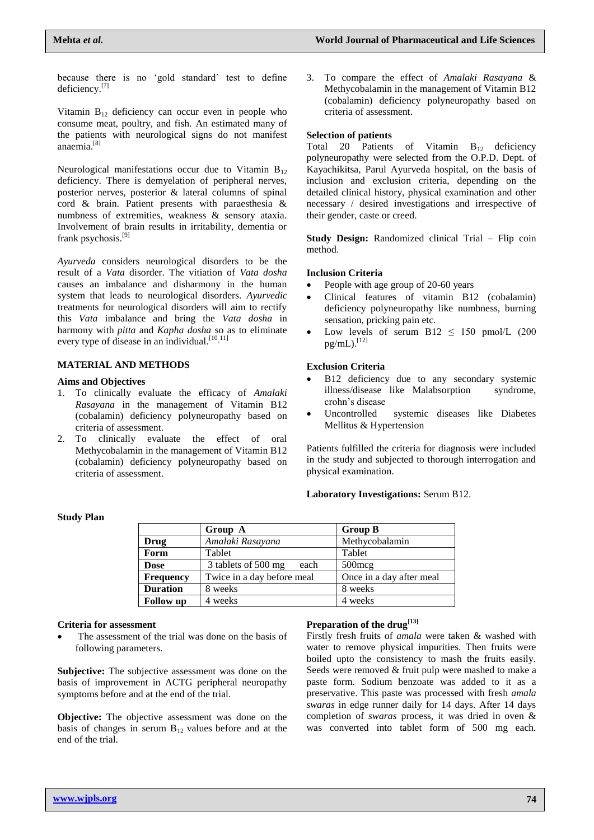because there is no 'gold standard' test to define deficiency.<sup>[7]</sup>

Vitamin  $B_{12}$  deficiency can occur even in people who consume meat, poultry, and fish. An estimated many of the patients with neurological signs do not manifest anaemia.[8]

Neurological manifestations occur due to Vitamin  $B_{12}$ deficiency. There is demyelation of peripheral nerves, posterior nerves, posterior & lateral columns of spinal cord & brain. Patient presents with paraesthesia & numbness of extremities, weakness & sensory ataxia. Involvement of brain results in irritability, dementia or frank psychosis.[9]

*Ayurveda* considers neurological disorders to be the result of a *Vata* disorder. The vitiation of *Vata dosha* causes an imbalance and disharmony in the human system that leads to neurological disorders. *Ayurvedic* treatments for neurological disorders will aim to rectify this *Vata* imbalance and bring the *Vata dosha* in harmony with *pitta* and *Kapha dosha* so as to eliminate every type of disease in an individual.<sup>[10,11]</sup>

# **MATERIAL AND METHODS**

#### **Aims and Objectives**

**Study Plan**

- 1. To clinically evaluate the efficacy of *Amalaki Rasayana* in the management of Vitamin B12 (cobalamin) deficiency polyneuropathy based on criteria of assessment.
- 2. To clinically evaluate the effect of oral Methycobalamin in the management of Vitamin B12 (cobalamin) deficiency polyneuropathy based on criteria of assessment.

3. To compare the effect of *Amalaki Rasayana* & Methycobalamin in the management of Vitamin B12 (cobalamin) deficiency polyneuropathy based on criteria of assessment.

#### **Selection of patients**

Total 20 Patients of Vitamin B<sub>12</sub> deficiency polyneuropathy were selected from the O.P.D. Dept. of Kayachikitsa, Parul Ayurveda hospital, on the basis of inclusion and exclusion criteria, depending on the detailed clinical history, physical examination and other necessary / desired investigations and irrespective of their gender, caste or creed.

**Study Design:** Randomized clinical Trial – Flip coin method.

#### **Inclusion Criteria**

- People with age group of 20-60 years
- Clinical features of vitamin B12 (cobalamin) deficiency polyneuropathy like numbness, burning sensation, pricking pain etc.
- Low levels of serum B12  $\leq$  150 pmol/L (200)  $pg/mL)$ . [12]

#### **Exclusion Criteria**

- B12 deficiency due to any secondary systemic illness/disease like Malabsorption syndrome, crohn's disease
- Uncontrolled systemic diseases like Diabetes Mellitus & Hypertension

Patients fulfilled the criteria for diagnosis were included in the study and subjected to thorough interrogation and physical examination.

#### **Laboratory Investigations:** Serum B12.

|                  | Group A                     | <b>Group B</b>           |
|------------------|-----------------------------|--------------------------|
| Drug             | Amalaki Rasayana            | Methycobalamin           |
| Form             | Tablet                      | Tablet                   |
| <b>Dose</b>      | 3 tablets of 500 mg<br>each | $500$ mcg                |
| <b>Frequency</b> | Twice in a day before meal  | Once in a day after meal |
| <b>Duration</b>  | 8 weeks                     | 8 weeks                  |
| <b>Follow</b> up | 4 weeks                     | 4 weeks                  |

#### **Criteria for assessment**

 The assessment of the trial was done on the basis of following parameters.

**Subjective:** The subjective assessment was done on the basis of improvement in ACTG peripheral neuropathy symptoms before and at the end of the trial.

**Objective:** The objective assessment was done on the basis of changes in serum  $B_{12}$  values before and at the end of the trial.

# **Preparation of the drug[13]**

Firstly fresh fruits of *amala* were taken & washed with water to remove physical impurities. Then fruits were boiled upto the consistency to mash the fruits easily. Seeds were removed & fruit pulp were mashed to make a paste form. Sodium benzoate was added to it as a preservative. This paste was processed with fresh *amala swaras* in edge runner daily for 14 days. After 14 days completion of *swaras* process, it was dried in oven & was converted into tablet form of 500 mg each.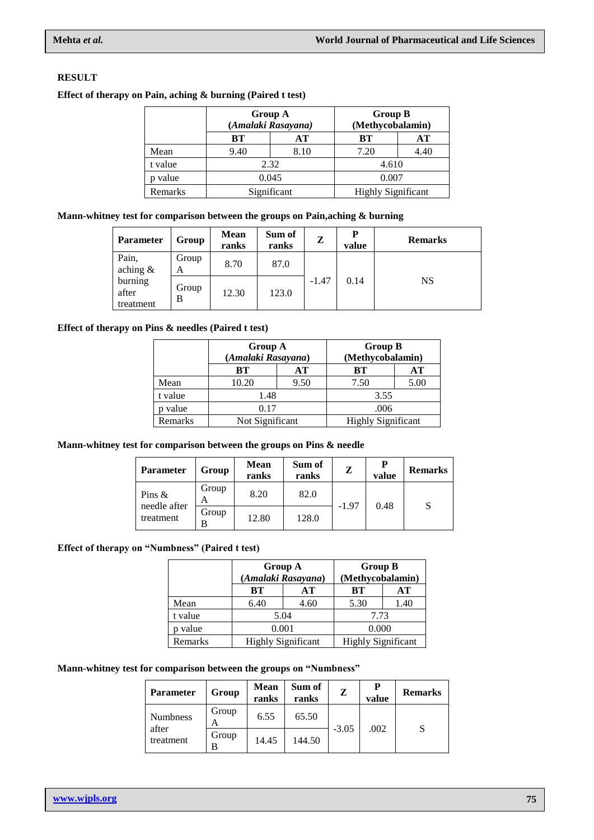# **RESULT**

# **Effect of therapy on Pain, aching & burning (Paired t test)**

|         | <b>Group A</b><br>(Amalaki Rasayana) |             | <b>Group B</b><br>(Methycobalamin) |      |  |
|---------|--------------------------------------|-------------|------------------------------------|------|--|
|         | BТ                                   | AТ          | AТ<br>BТ                           |      |  |
| Mean    | 9.40                                 | 8.10        | 7.20                               | 4.40 |  |
| t value |                                      | 2.32        | 4.610                              |      |  |
| value   |                                      | 0.045       | 0.007                              |      |  |
| Remarks |                                      | Significant | <b>Highly Significant</b>          |      |  |

## **Mann-whitney test for comparison between the groups on Pain,aching & burning**

| <b>Parameter</b>              | Group      | <b>Mean</b><br>ranks | Sum of<br>ranks | Z       | P<br>value | <b>Remarks</b> |
|-------------------------------|------------|----------------------|-----------------|---------|------------|----------------|
| Pain,<br>aching $\&$          | Group<br>A | 8.70                 | 87.0            |         | 0.14       | NS             |
| burning<br>after<br>treatment | Group<br>B | 12.30                | 123.0           | $-1.47$ |            |                |

#### **Effect of therapy on Pins & needles (Paired t test)**

|         | <b>Group A</b><br>(Amalaki Rasayana) |      | <b>Group B</b><br>(Methycobalamin) |      |  |
|---------|--------------------------------------|------|------------------------------------|------|--|
|         | BТ                                   | AТ   | BТ                                 | АT   |  |
| Mean    | 10.20                                | 9.50 | 7.50                               | 5.00 |  |
| t value | 1.48                                 |      | 3.55                               |      |  |
| value   | 0.17                                 |      | .006                               |      |  |
| Remarks | Not Significant                      |      | <b>Highly Significant</b>          |      |  |

# **Mann-whitney test for comparison between the groups on Pins & needle**

| <b>Parameter</b>          | Group      | <b>Mean</b><br>ranks | Sum of<br>ranks | z       | Р<br>value | <b>Remarks</b> |
|---------------------------|------------|----------------------|-----------------|---------|------------|----------------|
| Pins $\&$<br>needle after | Group<br>А | 8.20                 | 82.0            | $-1.97$ | 0.48       |                |
| treatment                 | Group<br>В | 12.80                | 128.0           |         |            | S              |

# **Effect of therapy on "Numbness" (Paired t test)**

|         | <b>Group A</b> | (Amalaki Rasayana)        | <b>Group B</b><br>(Methycobalamin) |      |  |
|---------|----------------|---------------------------|------------------------------------|------|--|
|         | BТ             | AТ                        | BТ                                 | AТ   |  |
| Mean    | 6.40           | 4.60                      | 5.30                               | 1.40 |  |
| t value | 5.04           |                           | 7.73                               |      |  |
| value   | 0.001          |                           | 0.000                              |      |  |
| Remarks |                | <b>Highly Significant</b> | <b>Highly Significant</b>          |      |  |

#### **Mann-whitney test for comparison between the groups on "Numbness"**

| <b>Parameter</b>   | Group      | <b>Mean</b><br>ranks | Sum of<br>ranks | Z       | Р<br>value | <b>Remarks</b> |
|--------------------|------------|----------------------|-----------------|---------|------------|----------------|
| <b>Numbness</b>    | Group<br>А | 6.55                 | 65.50           |         |            |                |
| after<br>treatment | Group<br>R | 14.45                | 144.50          | $-3.05$ | .002       |                |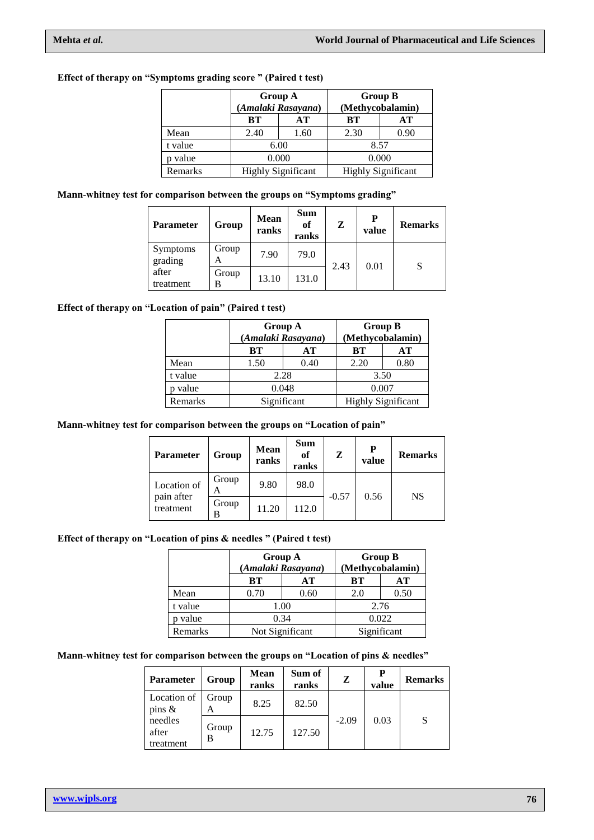# **Effect of therapy on "Symptoms grading score " (Paired t test)**

|         | <b>Group A</b><br>(Amalaki Rasayana) |      | <b>Group B</b><br>(Methycobalamin) |      |  |
|---------|--------------------------------------|------|------------------------------------|------|--|
|         | BТ                                   | AТ   | BТ                                 | AТ   |  |
| Mean    | 2.40                                 | 1.60 | 2.30                               | 0.90 |  |
| t value |                                      | 6.00 | 8.57                               |      |  |
| p value | 0.000                                |      | 0.000                              |      |  |
| Remarks | <b>Highly Significant</b>            |      | <b>Highly Significant</b>          |      |  |

# **Mann-whitney test for comparison between the groups on "Symptoms grading"**

| <b>Parameter</b>           | Group      | <b>Mean</b><br>ranks | <b>Sum</b><br>of<br>ranks | Z    | P<br>value | <b>Remarks</b> |
|----------------------------|------------|----------------------|---------------------------|------|------------|----------------|
| <b>Symptoms</b><br>grading | Group<br>А | 7.90                 | 79.0                      |      | 0.01       | S              |
| after<br>treatment         | Group<br>B | 13.10                | 131.0                     | 2.43 |            |                |

### **Effect of therapy on "Location of pain" (Paired t test)**

|         | <b>Group A</b><br>(Amalaki Rasayana) |      | <b>Group B</b><br>(Methycobalamin) |      |  |
|---------|--------------------------------------|------|------------------------------------|------|--|
|         | BТ                                   | AТ   | BТ                                 | AТ   |  |
| Mean    | 1.50                                 | 0.40 | 2.20                               | 0.80 |  |
| t value | 2.28                                 |      | 3.50                               |      |  |
| value   | 0.048                                |      | 0.007                              |      |  |
| Remarks | Significant                          |      | <b>Highly Significant</b>          |      |  |

#### **Mann-whitney test for comparison between the groups on "Location of pain"**

| <b>Parameter</b>                       | Group      | Mean<br>ranks | <b>Sum</b><br><b>of</b><br>ranks | z       | P<br>value | <b>Remarks</b> |
|----------------------------------------|------------|---------------|----------------------------------|---------|------------|----------------|
| Location of<br>pain after<br>treatment | Group<br>А | 9.80          | 98.0                             |         | 0.56       | NS             |
|                                        | Group<br>В | 11.20         | 112.0                            | $-0.57$ |            |                |

#### **Effect of therapy on "Location of pins & needles " (Paired t test)**

|         | <b>Group A</b>                 | (Amalaki Rasayana) | <b>Group B</b><br>(Methycobalamin) |      |  |
|---------|--------------------------------|--------------------|------------------------------------|------|--|
|         | BТ                             | AТ                 | BТ                                 | AТ   |  |
| Mean    | 0.70                           | 0.60               | 2.0                                | 0.50 |  |
| t value |                                | 1.00               | 2.76                               |      |  |
| value   | 0.34                           |                    | 0.022                              |      |  |
| Remarks | Significant<br>Not Significant |                    |                                    |      |  |

#### **Mann-whitney test for comparison between the groups on "Location of pins & needles"**

| <b>Parameter</b>              | Group      | <b>Mean</b><br>ranks | Sum of<br>ranks | Z       | P<br>value | <b>Remarks</b> |
|-------------------------------|------------|----------------------|-----------------|---------|------------|----------------|
| Location of<br>pins $\&$      | Group<br>A | 8.25                 | 82.50           |         |            |                |
| needles<br>after<br>treatment | Group<br>B | 12.75                | 127.50          | $-2.09$ | 0.03       |                |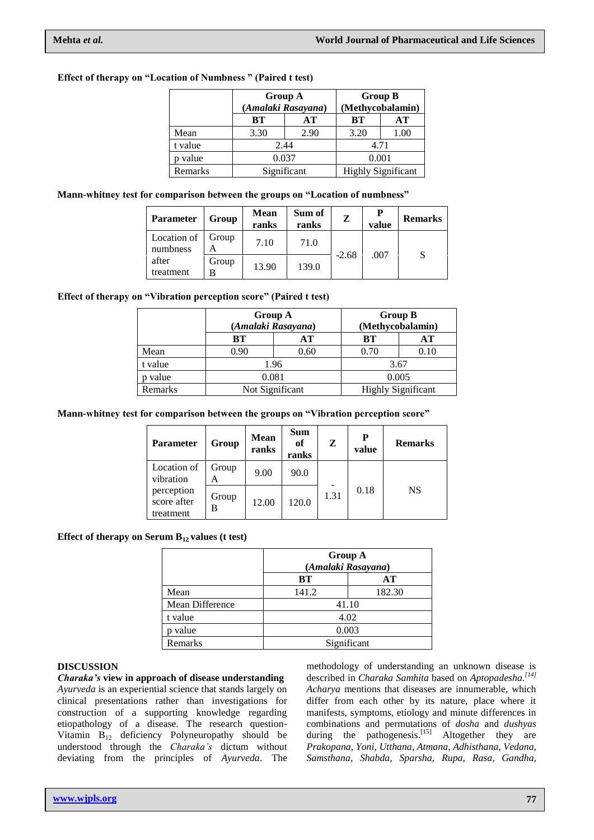## **Effect of therapy on "Location of Numbness " (Paired t test)**

|         | Group A<br>(Amalaki Rasayana)<br><b>BT</b><br>AТ |      | <b>Group B</b><br>(Methycobalamin) |      |  |
|---------|--------------------------------------------------|------|------------------------------------|------|--|
|         |                                                  |      | <b>BT</b>                          | AТ   |  |
| Mean    | 3.30                                             | 2.90 | 3.20                               | 1.00 |  |
| t value | 2.44                                             |      | 4.71                               |      |  |
| p value | 0.037                                            |      | 0.001                              |      |  |
| Remarks | Significant                                      |      | <b>Highly Significant</b>          |      |  |

#### **Mann-whitney test for comparison between the groups on "Location of numbness"**

| <b>Parameter</b>        | Group | <b>Mean</b><br>ranks | Sum of<br>ranks | Z       | P<br>value | <b>Remarks</b> |
|-------------------------|-------|----------------------|-----------------|---------|------------|----------------|
| Location of<br>numbness | Group | 7.10                 | 71.0            |         |            |                |
| after<br>treatment      | Group | 13.90                | 139.0           | $-2.68$ | .007       | S              |

### **Effect of therapy on "Vibration perception score" (Paired t test)**

|         | <b>Group A</b><br>(Amalaki Rasayana) |                 | <b>Group B</b><br>(Methycobalamin) |      |  |
|---------|--------------------------------------|-----------------|------------------------------------|------|--|
|         | BТ                                   | AТ              | BТ                                 | AТ   |  |
| Mean    | 0.90                                 | 0.60            | 0.70                               | 0.10 |  |
| t value |                                      | 1.96            | 3.67                               |      |  |
| value   | 0.081                                |                 | 0.005                              |      |  |
| Remarks |                                      | Not Significant | <b>Highly Significant</b>          |      |  |

#### **Mann-whitney test for comparison between the groups on "Vibration perception score"**

| <b>Parameter</b>                       | Group      | Mean<br>ranks | <b>Sum</b><br>of<br>ranks | z    | P<br>value | <b>Remarks</b> |
|----------------------------------------|------------|---------------|---------------------------|------|------------|----------------|
| Location of<br>vibration               | Group<br>А | 9.00          | 90.0                      |      |            |                |
| perception<br>score after<br>treatment | Group<br>в | 12.00         | 120.0                     | 1.31 | 0.18       | NS             |

#### **Effect of therapy on Serum B12 values (t test)**

|                 | <b>Group A</b><br>(Amalaki Rasayana) |        |  |  |
|-----------------|--------------------------------------|--------|--|--|
|                 | BТ<br>AТ                             |        |  |  |
| Mean            | 141.2                                | 182.30 |  |  |
| Mean Difference | 41.10                                |        |  |  |
| t value         | 4.02                                 |        |  |  |
| value           | 0.003                                |        |  |  |
| Remarks         | Significant                          |        |  |  |

#### **DISCUSSION**

*Charaka's* **view in approach of disease understanding** *Ayurveda* is an experiential science that stands largely on clinical presentations rather than investigations for construction of a supporting knowledge regarding etiopathology of a disease. The research question-Vitamin B<sup>12</sup> deficiency Polyneuropathy should be understood through the *Charaka's* dictum without deviating from the principles of *Ayurveda*. The

methodology of understanding an unknown disease is described in *Charaka Samhita* based on *Aptopadesha. [14] Acharya* mentions that diseases are innumerable, which differ from each other by its nature, place where it manifests, symptoms, etiology and minute differences in combinations and permutations of *dosha* and *dushyas* during the pathogenesis.<sup>[15]</sup> Altogether they are *Prakopana*, *Yoni*, *Utthana*, *Atmana*, *Adhisthana*, *Vedana*, *Samsthana*, *Shabda*, *Sparsha*, *Rupa*, *Rasa*, *Gandha*,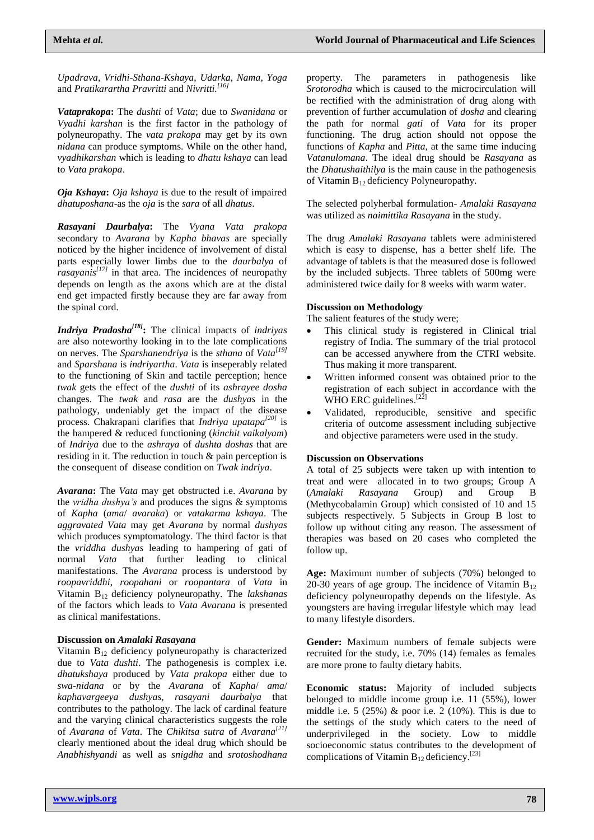*Upadrava*, *Vridhi*-*Sthana*-*Kshaya*, *Udarka*, *Nama*, *Yoga* and *Pratikarartha Pravritti* and *Nivritti. [16]*

*Vataprakopa***:** The *dushti* of *Vata*; due to *Swanidana* or *Vyadhi karshan* is the first factor in the pathology of polyneuropathy. The *vata prakopa* may get by its own *nidana* can produce symptoms. While on the other hand, *vyadhikarshan* which is leading to *dhatu kshaya* can lead to *Vata prakopa*.

*Oja Kshaya***:** *Oja kshaya* is due to the result of impaired *dhatuposhana*-as the *oja* is the *sara* of all *dhatus*.

*Rasayani Daurbalya***:** The *Vyana Vata prakopa* secondary to *Avarana* by *Kapha bhavas* are specially noticed by the higher incidence of involvement of distal parts especially lower limbs due to the *daurbalya* of *rasayanis[17]* in that area. The incidences of neuropathy depends on length as the axons which are at the distal end get impacted firstly because they are far away from the spinal cord.

*Indriya Pradosha[18]* **:** The clinical impacts of *indriyas* are also noteworthy looking in to the late complications on nerves. The *Sparshanendriya* is the *sthana* of *Vata[19]* and *Sparshana* is *indriyartha*. *Vata* is inseperably related to the functioning of Skin and tactile perception; hence *twak* gets the effect of the *dushti* of its *ashrayee dosha* changes. The *twak* and *rasa* are the *dushyas* in the pathology, undeniably get the impact of the disease process. Chakrapani clarifies that *Indriya upatapa[20]* is the hampered & reduced functioning (*kinchit vaikalyam*) of *Indriya* due to the *ashraya* of *dushta doshas* that are residing in it. The reduction in touch & pain perception is the consequent of disease condition on *Twak indriya*.

*Avarana***:** The *Vata* may get obstructed i.e. *Avarana* by the *vridha dushya's* and produces the signs & symptoms of *Kapha* (*ama*/ *avaraka*) or *vatakarma kshaya*. The *aggravated Vata* may get *Avarana* by normal *dushyas* which produces symptomatology. The third factor is that the *vriddha dushyas* leading to hampering of gati of normal *Vata* that further leading to clinical manifestations. The *Avarana* process is understood by *roopavriddhi*, *roopahani* or *roopantara* of *Vata* in Vitamin B12 deficiency polyneuropathy. The *lakshanas* of the factors which leads to *Vata Avarana* is presented as clinical manifestations.

#### **Discussion on** *Amalaki Rasayana*

Vitamin B<sub>12</sub> deficiency polyneuropathy is characterized due to *Vata dushti*. The pathogenesis is complex i.e. *dhatukshaya* produced by *Vata prakopa* either due to *swa-nidana* or by the *Avarana* of *Kapha*/ *ama*/ *kaphavargeeya dushyas, rasayani daurbalya* that contributes to the pathology. The lack of cardinal feature and the varying clinical characteristics suggests the role of *Avarana* of *Vata*. The *Chikitsa sutra* of *Avarana[21]* clearly mentioned about the ideal drug which should be *Anabhishyandi* as well as *snigdha* and *srotoshodhana*  property. The parameters in pathogenesis like *Srotorodha* which is caused to the microcirculation will be rectified with the administration of drug along with prevention of further accumulation of *dosha* and clearing the path for normal *gati* of *Vata* for its proper functioning. The drug action should not oppose the functions of *Kapha* and *Pitta*, at the same time inducing *Vatanulomana*. The ideal drug should be *Rasayana* as the *Dhatushaithilya* is the main cause in the pathogenesis of Vitamin B12 deficiency Polyneuropathy.

The selected polyherbal formulation- *Amalaki Rasayana* was utilized as *naimittika Rasayana* in the study.

The drug *Amalaki Rasayana* tablets were administered which is easy to dispense, has a better shelf life. The advantage of tablets is that the measured dose is followed by the included subjects. Three tablets of 500mg were administered twice daily for 8 weeks with warm water.

#### **Discussion on Methodology**

The salient features of the study were;

- This clinical study is registered in Clinical trial registry of India. The summary of the trial protocol can be accessed anywhere from the CTRI website. Thus making it more transparent.
- Written informed consent was obtained prior to the registration of each subject in accordance with the WHO ERC guidelines.<sup>[22]</sup>
- Validated, reproducible, sensitive and specific criteria of outcome assessment including subjective and objective parameters were used in the study.

#### **Discussion on Observations**

A total of 25 subjects were taken up with intention to treat and were allocated in to two groups; Group A (*Amalaki Rasayana* Group) and Group (Methycobalamin Group) which consisted of 10 and 15 subjects respectively. 5 Subjects in Group B lost to follow up without citing any reason. The assessment of therapies was based on 20 cases who completed the follow up.

**Age:** Maximum number of subjects (70%) belonged to 20-30 years of age group. The incidence of Vitamin  $B_{12}$ deficiency polyneuropathy depends on the lifestyle. As youngsters are having irregular lifestyle which may lead to many lifestyle disorders.

**Gender:** Maximum numbers of female subjects were recruited for the study, i.e. 70% (14) females as females are more prone to faulty dietary habits.

**Economic status:** Majority of included subjects belonged to middle income group i.e. 11 (55%), lower middle i.e.  $5(25\%)$  & poor i.e.  $2(10\%)$ . This is due to the settings of the study which caters to the need of underprivileged in the society. Low to middle socioeconomic status contributes to the development of complications of Vitamin  $B_{12}$  deficiency.<sup>[23]</sup>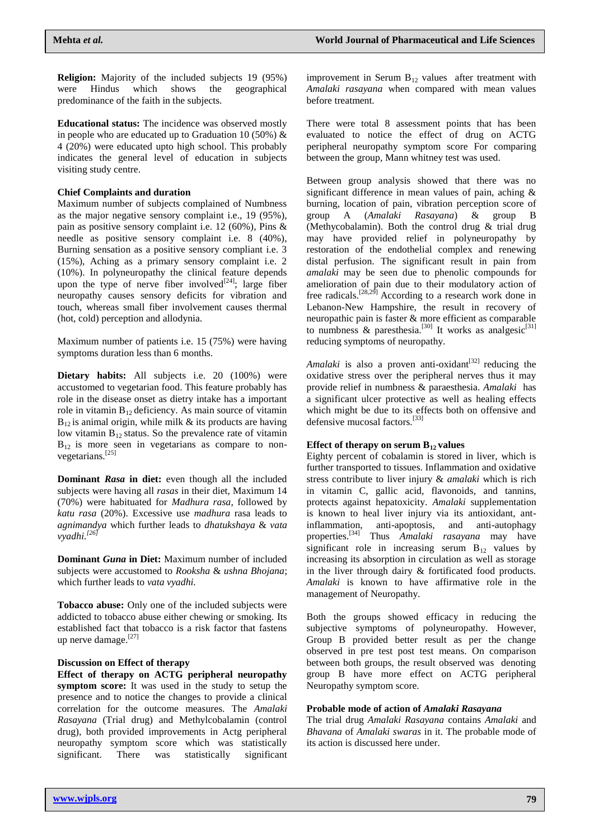**Religion:** Majority of the included subjects 19 (95%) were Hindus which shows the geographical predominance of the faith in the subjects.

**Educational status:** The incidence was observed mostly in people who are educated up to Graduation 10 (50%)  $\&$ 4 (20%) were educated upto high school. This probably indicates the general level of education in subjects visiting study centre.

#### **Chief Complaints and duration**

Maximum number of subjects complained of Numbness as the major negative sensory complaint i.e., 19 (95%), pain as positive sensory complaint i.e. 12 (60%), Pins & needle as positive sensory complaint i.e. 8 (40%), Burning sensation as a positive sensory compliant i.e. 3 (15%), Aching as a primary sensory complaint i.e. 2 (10%). In polyneuropathy the clinical feature depends upon the type of nerve fiber involved $[24]$ ; large fiber neuropathy causes sensory deficits for vibration and touch, whereas small fiber involvement causes thermal (hot, cold) perception and allodynia.

Maximum number of patients i.e. 15 (75%) were having symptoms duration less than 6 months.

Dietary habits: All subjects i.e. 20 (100%) were accustomed to vegetarian food. This feature probably has role in the disease onset as dietry intake has a important role in vitamin  $B_{12}$  deficiency. As main source of vitamin  $B_{12}$  is animal origin, while milk  $\&$  its products are having low vitamin  $B_{12}$  status. So the prevalence rate of vitamin  $B_{12}$  is more seen in vegetarians as compare to nonvegetarians.[25]

**Dominant** *Rasa* **in diet:** even though all the included subjects were having all *rasas* in their diet, Maximum 14 (70%) were habituated for *Madhura rasa*, followed by *katu rasa* (20%). Excessive use *madhura* rasa leads to *agnimandya* which further leads to *dhatukshaya* & *vata vyadhi. [26]*

**Dominant** *Guna* **in Diet:** Maximum number of included subjects were accustomed to *Rooksha* & *ushna Bhojana*; which further leads to *vata vyadhi.*

**Tobacco abuse:** Only one of the included subjects were addicted to tobacco abuse either chewing or smoking. Its established fact that tobacco is a risk factor that fastens up nerve damage.<sup>[27]</sup>

#### **Discussion on Effect of therapy**

**Effect of therapy on ACTG peripheral neuropathy symptom score:** It was used in the study to setup the presence and to notice the changes to provide a clinical correlation for the outcome measures. The *Amalaki Rasayana* (Trial drug) and Methylcobalamin (control drug), both provided improvements in Actg peripheral neuropathy symptom score which was statistically significant. There was statistically significant improvement in Serum  $B_{12}$  values after treatment with *Amalaki rasayana* when compared with mean values before treatment.

There were total 8 assessment points that has been evaluated to notice the effect of drug on ACTG peripheral neuropathy symptom score For comparing between the group, Mann whitney test was used.

Between group analysis showed that there was no significant difference in mean values of pain, aching & burning, location of pain, vibration perception score of group A (*Amalaki Rasayana*) & group B (Methycobalamin). Both the control drug & trial drug may have provided relief in polyneuropathy by restoration of the endothelial complex and renewing distal perfusion. The significant result in pain from *amalaki* may be seen due to phenolic compounds for amelioration of pain due to their modulatory action of free radicals.<sup>[28,29]</sup> According to a research work done in [Lebanon-New Hampshire, the result in recovery of](https://en.wikipedia.org/wiki/Lebanon,_New_Hampshire)  [neuropathic pain is faster & more efficient as comparable](https://en.wikipedia.org/wiki/Lebanon,_New_Hampshire)  [to numbness & paresthesia.](https://en.wikipedia.org/wiki/Lebanon,_New_Hampshire)<sup>[30]</sup> It works as analgesic<sup>[31]</sup> [reducing symptoms of neuropathy.](https://en.wikipedia.org/wiki/Lebanon,_New_Hampshire) 

Amalaki is also a proven anti-oxidant<sup>[32]</sup> reducing the oxidative stress over the peripheral nerves thus it may provide relief in numbness & paraesthesia. *Amalaki* has a significant ulcer protective as well as healing effects which might be due to its effects both on offensive and defensive mucosal factors.[33]

#### **Effect of therapy on serum**  $B_1$  **<b>values**

Eighty percent of cobalamin is stored in liver, which is further transported to tissues. Inflammation and oxidative stress contribute to liver injury & *amalaki* which is rich in vitamin C, gallic acid, flavonoids, and tannins, protects against hepatoxicity. *Amalaki* supplementation is known to heal liver injury via its antioxidant, antinflammation, anti-apoptosis, and anti-autophagy properties.[34] Thus *Amalaki rasayana* may have significant role in increasing serum  $B_{12}$  values by increasing its absorption in circulation as well as storage in the liver through dairy & fortificated food products. *Amalaki* is known to have affirmative role in the management of Neuropathy.

Both the groups showed efficacy in reducing the subjective symptoms of polyneuropathy. However, Group B provided better result as per the change observed in pre test post test means. On comparison between both groups, the result observed was denoting group B have more effect on ACTG peripheral Neuropathy symptom score.

#### **Probable mode of action of** *Amalaki Rasayana*

The trial drug *Amalaki Rasayana* contains *Amalaki* and *Bhavana* of *Amalaki swaras* in it. The probable mode of its action is discussed here under.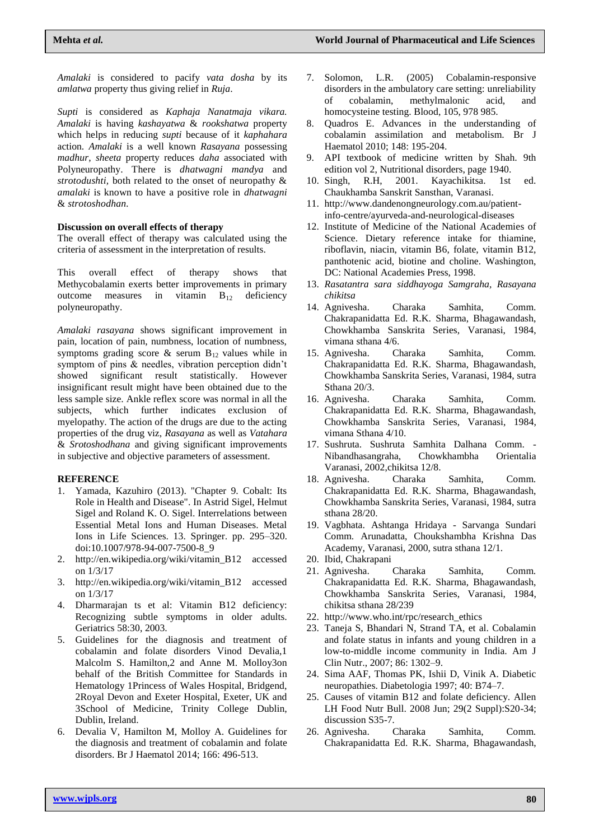*Amalaki* is considered to pacify *vata dosha* by its *amlatwa* property thus giving relief in *Ruja*.

*Supti* is considered as *Kaphaja Nanatmaja vikara. Amalaki* is having *kashayatwa* & *rookshatwa* property which helps in reducing *supti* because of it *kaphahara* action. *Amalaki* is a well known *Rasayana* possessing *madhur*, *sheeta* property reduces *daha* associated with Polyneuropathy. There is *dhatwagni mandya* and *strotodushti,* both related to the onset of neuropathy & *amalaki* is known to have a positive role in *dhatwagni* & *strotoshodhan.*

#### **Discussion on overall effects of therapy**

The overall effect of therapy was calculated using the criteria of assessment in the interpretation of results.

This overall effect of therapy shows that Methycobalamin exerts better improvements in primary outcome measures in vitamin  $B_{12}$  deficiency polyneuropathy.

*Amalaki rasayana* shows significant improvement in pain, location of pain, numbness, location of numbness, symptoms grading score  $\&$  serum  $B_{12}$  values while in symptom of pins & needles, vibration perception didn't showed significant result statistically. However insignificant result might have been obtained due to the less sample size. Ankle reflex score was normal in all the subjects, which further indicates exclusion of myelopathy. The action of the drugs are due to the acting properties of the drug viz, *Rasayana* as well as *Vatahara* & *Srotoshodhana* and giving significant improvements in subjective and objective parameters of assessment.

#### **REFERENCE**

- 1. Yamada, Kazuhiro (2013). "Chapter 9. Cobalt: Its Role in Health and Disease". In Astrid Sigel, Helmut Sigel and Roland K. O. Sigel. Interrelations between Essential Metal Ions and Human Diseases. Metal Ions in Life Sciences. 13. Springer. pp. 295–320. doi:10.1007/978-94-007-7500-8\_9
- 2. [http://en.wikipedia.org/wiki/vitamin\\_B12 accessed](http://en.wikipedia.org/wiki/vitamin_B12%20accessed%20on%201/3/17)  [on 1/3/17](http://en.wikipedia.org/wiki/vitamin_B12%20accessed%20on%201/3/17)
- 3. [http://en.wikipedia.org/wiki/vitamin\\_B12 accessed](http://en.wikipedia.org/wiki/vitamin_B12%20accessed%20on%201/3/17)  [on 1/3/17](http://en.wikipedia.org/wiki/vitamin_B12%20accessed%20on%201/3/17)
- 4. Dharmarajan ts et al: Vitamin B12 deficiency: Recognizing subtle symptoms in older adults. Geriatrics 58:30, 2003.
- 5. Guidelines for the diagnosis and treatment of cobalamin and folate disorders Vinod Devalia,1 Malcolm S. Hamilton,2 and Anne M. Molloy3on behalf of the British Committee for Standards in Hematology 1Princess of Wales Hospital, Bridgend, 2Royal Devon and Exeter Hospital, Exeter, UK and 3School of Medicine, Trinity College Dublin, Dublin, Ireland.
- 6. Devalia V, Hamilton M, Molloy A. Guidelines for the diagnosis and treatment of cobalamin and folate disorders. Br J Haematol 2014; 166: 496-513.
- 7. Solomon, L.R. (2005) Cobalamin-responsive disorders in the ambulatory care setting: unreliability of cobalamin, methylmalonic acid, homocysteine testing. Blood, 105, 978 985.
- 8. Quadros E. Advances in the understanding of cobalamin assimilation and metabolism. Br J Haematol 2010; 148: 195-204.
- 9. API textbook of medicine written by Shah. 9th edition vol 2, Nutritional disorders, page 1940.
- 10. Singh, R.H, 2001. Kayachikitsa. 1st ed. Chaukhamba Sanskrit Sansthan, Varanasi.
- 11. [http://www.dandenongneurology.com.au/patient](http://www.dandenongneurology.com.au/patient-info-centre/ayurveda-and-neurological-diseases)[info-centre/ayurveda-and-neurological-diseases](http://www.dandenongneurology.com.au/patient-info-centre/ayurveda-and-neurological-diseases)
- 12. Institute of Medicine of the National Academies of Science. Dietary reference intake for thiamine, riboflavin, niacin, vitamin B6, folate, vitamin B12, panthotenic acid, biotine and choline. Washington, DC: National Academies Press, 1998.
- 13. *Rasatantra sara siddhayoga Samgraha, Rasayana chikitsa*
- 14. Agnivesha. Charaka Samhita, Comm. Chakrapanidatta Ed. R.K. Sharma, Bhagawandash, Chowkhamba Sanskrita Series, Varanasi, 1984, vimana sthana 4/6.
- 15. Agnivesha. Charaka Samhita, Comm. Chakrapanidatta Ed. R.K. Sharma, Bhagawandash, Chowkhamba Sanskrita Series, Varanasi, 1984, sutra Sthana 20/3.
- 16. Agnivesha. Charaka Samhita, Comm. Chakrapanidatta Ed. R.K. Sharma, Bhagawandash, Chowkhamba Sanskrita Series, Varanasi, 1984, vimana Sthana 4/10.
- 17. Sushruta. Sushruta Samhita Dalhana Comm. Nibandhasangraha, Chowkhambha Orientalia Varanasi, 2002,chikitsa 12/8.
- 18. Agnivesha. Charaka Samhita, Comm. Chakrapanidatta Ed. R.K. Sharma, Bhagawandash, Chowkhamba Sanskrita Series, Varanasi, 1984, sutra sthana 28/20.
- 19. Vagbhata. Ashtanga Hridaya Sarvanga Sundari Comm. Arunadatta, Choukshambha Krishna Das Academy, Varanasi, 2000, sutra sthana 12/1.
- 20. Ibid, Chakrapani
- 21. Agnivesha. Charaka Samhita, Comm. Chakrapanidatta Ed. R.K. Sharma, Bhagawandash, Chowkhamba Sanskrita Series, Varanasi, 1984, chikitsa sthana 28/239
- 22. [http://www.who.int/rpc/research\\_ethics](http://www.who.int/rpc/research_ethics)
- 23. Taneja S, Bhandari N, Strand TA, et al. Cobalamin and folate status in infants and young children in a low-to-middle income community in India. Am J Clin Nutr., 2007; 86: 1302–9.
- 24. Sima AAF, Thomas PK, Ishii D, Vinik A. Diabetic neuropathies. Diabetologia 1997; 40: B74–7.
- 25. Causes of vitamin B12 and folate deficiency. Allen LH Food Nutr Bull. 2008 Jun; 29(2 Suppl):S20-34; discussion S35-7*.*
- 26. Agnivesha. Charaka Samhita, Comm. Chakrapanidatta Ed. R.K. Sharma, Bhagawandash,